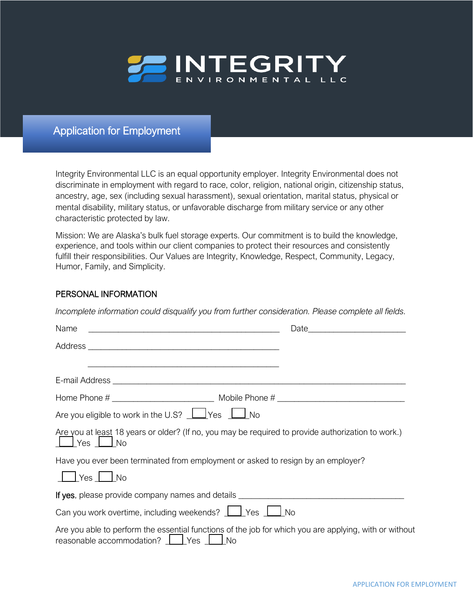

Application for Employment

Integrity Environmental LLC is an equal opportunity employer. Integrity Environmental does not discriminate in employment with regard to race, color, religion, national origin, citizenship status, ancestry, age, sex (including sexual harassment), sexual orientation, marital status, physical or mental disability, military status, or unfavorable discharge from military service or any other characteristic protected by law.

Mission: We are Alaska's bulk fuel storage experts. Our commitment is to build the knowledge, experience, and tools within our client companies to protect their resources and consistently fulfill their responsibilities. Our Values are Integrity, Knowledge, Respect, Community, Legacy, Humor, Family, and Simplicity.

## PERSONAL INFORMATION

*Incomplete information could disqualify you from further consideration. Please complete all fields.* 

| <u> 2000 - Jan James James Barnett, amerikan bahasa (j. 1918).</u>               |                                                                                                        |
|----------------------------------------------------------------------------------|--------------------------------------------------------------------------------------------------------|
|                                                                                  |                                                                                                        |
| Are you eligible to work in the U.S? $\Box$ Yes $\Box$ No                        |                                                                                                        |
| $\Box$ Yes $\Box$ No                                                             | Are you at least 18 years or older? (If no, you may be required to provide authorization to work.)     |
| Have you ever been terminated from employment or asked to resign by an employer? |                                                                                                        |
| $\Box$ Yes $\Box$ No                                                             |                                                                                                        |
|                                                                                  | If yes, please provide company names and details _______________________________                       |
| Can you work overtime, including weekends?   Pes   No                            |                                                                                                        |
| reasonable accommodation?   Yes   No                                             | Are you able to perform the essential functions of the job for which you are applying, with or without |